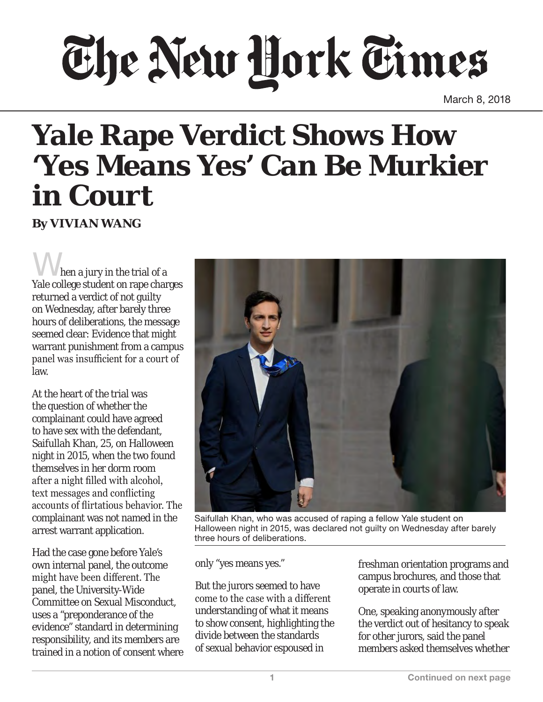## The New Hork Times

March 8, 2018

## **Yale Rape Verdict Shows How 'Yes Means Yes' Can Be Murkier in Court**

**By VIVIAN WANG**

When a jury in the trial of a Yale college student on rape charges returned a verdict of not guilty on Wednesday, after barely three hours of deliberations, the message seemed clear: Evidence that might warrant punishment from a campus panel was insufficient for a court of law.

At the heart of the trial was the question of whether the complainant could have agreed to have sex with the defendant, Saifullah Khan, 25, on Halloween night in 2015, when the two found themselves in her dorm room after a night filled with alcohol, text messages and conflicting accounts of flirtatious behavior. The complainant was not named in the arrest warrant application.

Had the case gone before Yale's own internal panel, the outcome might have been different. The panel, the University-Wide Committee on Sexual Misconduct, uses a "preponderance of the evidence" standard in determining responsibility, and its members are trained in a notion of consent where



Saifullah Khan, who was accused of raping a fellow Yale student on Halloween night in 2015, was declared not guilty on Wednesday after barely three hours of deliberations.

only "yes means yes."

But the jurors seemed to have come to the case with a different understanding of what it means to show consent, highlighting the divide between the standards of sexual behavior espoused in

freshman orientation programs and campus brochures, and those that operate in courts of law.

One, speaking anonymously after the verdict out of hesitancy to speak for other jurors, said the panel members asked themselves whether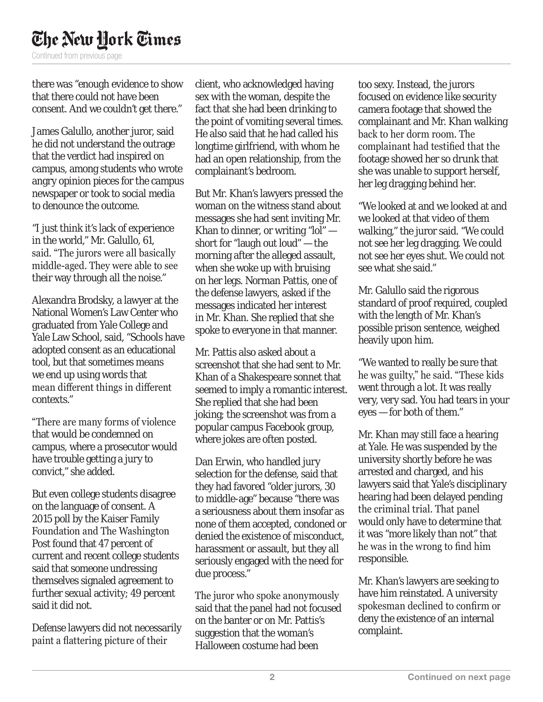## The New Hork Times

Continued from previous page

there was "enough evidence to show that there could not have been consent. And we couldn't get there."

James Galullo, another juror, said he did not understand the outrage that the verdict had inspired on campus, among students who wrote angry opinion pieces for the campus newspaper or took to social media to denounce the outcome.

"I just think it's lack of experience in the world," Mr. Galullo, 61, said. "The jurors were all basically middle-aged. They were able to see their way through all the noise."

Alexandra Brodsky, a lawyer at the National Women's Law Center who graduated from Yale College and Yale Law School, said, "Schools have adopted consent as an educational tool, but that sometimes means we end up using words that mean different things in different contexts."

"There are many forms of violence that would be condemned on campus, where a prosecutor would have trouble getting a jury to convict," she added.

But even college students disagree on the language of consent. A 2015 poll by the Kaiser Family Foundation and The Washington Post found that 47 percent of current and recent college students said that someone undressing themselves signaled agreement to further sexual activity; 49 percent said it did not.

Defense lawyers did not necessarily paint a flattering picture of their

client, who acknowledged having sex with the woman, despite the fact that she had been drinking to the point of vomiting several times. He also said that he had called his longtime girlfriend, with whom he had an open relationship, from the complainant's bedroom.

But Mr. Khan's lawyers pressed the woman on the witness stand about messages she had sent inviting Mr. Khan to dinner, or writing " $\text{Io}$ " short for "laugh out loud" — the morning after the alleged assault, when she woke up with bruising on her legs. Norman Pattis, one of the defense lawyers, asked if the messages indicated her interest in Mr. Khan. She replied that she spoke to everyone in that manner.

Mr. Pattis also asked about a screenshot that she had sent to Mr. Khan of a Shakespeare sonnet that seemed to imply a romantic interest. She replied that she had been joking; the screenshot was from a popular campus Facebook group, where jokes are often posted.

Dan Erwin, who handled jury selection for the defense, said that they had favored "older jurors, 30 to middle-age" because "there was a seriousness about them insofar as none of them accepted, condoned or denied the existence of misconduct, harassment or assault, but they all seriously engaged with the need for due process."

The juror who spoke anonymously said that the panel had not focused on the banter or on Mr. Pattis's suggestion that the woman's Halloween costume had been

too sexy. Instead, the jurors focused on evidence like security camera footage that showed the complainant and Mr. Khan walking back to her dorm room. The complainant had testified that the footage showed her so drunk that she was unable to support herself, her leg dragging behind her.

"We looked at and we looked at and we looked at that video of them walking," the juror said. "We could not see her leg dragging. We could not see her eyes shut. We could not see what she said."

Mr. Galullo said the rigorous standard of proof required, coupled with the length of Mr. Khan's possible prison sentence, weighed heavily upon him.

"We wanted to really be sure that he was guilty," he said. "These kids went through a lot. It was really very, very sad. You had tears in your eyes — for both of them."

Mr. Khan may still face a hearing at Yale. He was suspended by the university shortly before he was arrested and charged, and his lawyers said that Yale's disciplinary hearing had been delayed pending the criminal trial. That panel would only have to determine that it was "more likely than not" that he was in the wrong to find him responsible.

Mr. Khan's lawyers are seeking to have him reinstated. A university spokesman declined to confirm or deny the existence of an internal complaint.